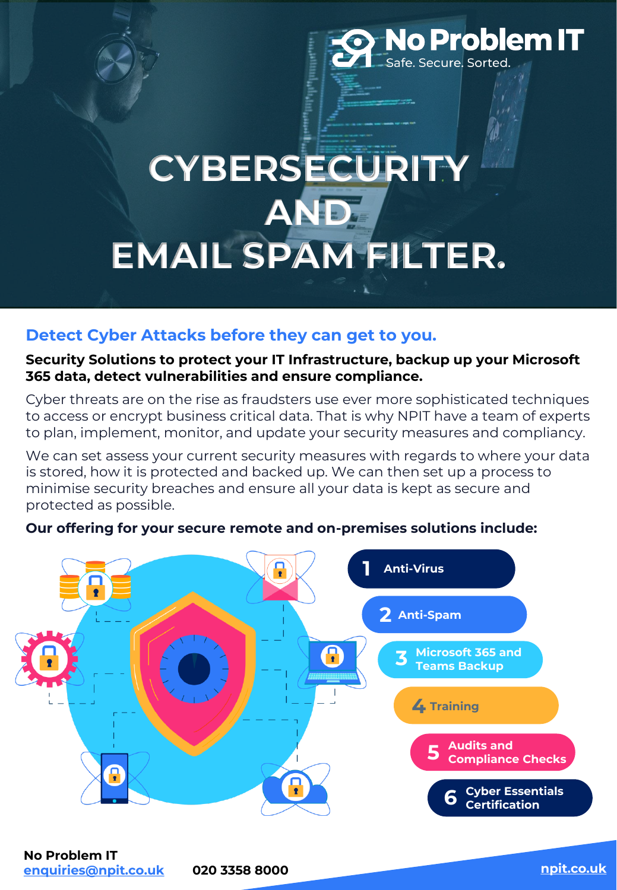## **No Problem IT** afe. Secure. Sorted.

# **CYBERSECURI AND EMAIL SPAM FILTER.**

## **Detect Cyber Attacks before they can get to you.**

#### **Security Solutions to protect your IT Infrastructure, backup up your Microsoft 365 data, detect vulnerabilities and ensure compliance.**

Cyber threats are on the rise as fraudsters use ever more sophisticated techniques to access or encrypt business critical data. That is why NPIT have a team of experts to plan, implement, monitor, and update your security measures and compliancy.

We can set assess your current security measures with regards to where your data is stored, how it is protected and backed up. We can then set up a process to minimise security breaches and ensure all your data is kept as secure and protected as possible.

## **Our offering for your secure remote and on-premises solutions include:**

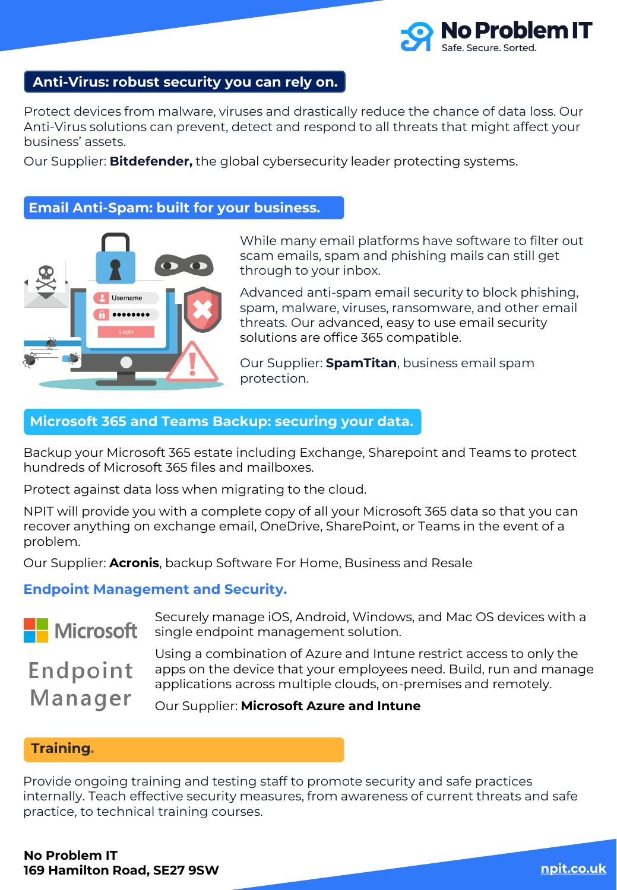

### **Anti-Virus: robust security you can rely on.**

Protect devices from malware, viruses and drastically reduce the chance of data loss. Our Anti-Virus solutions can prevent, detect and respond to all threats that might affect your business' assets.

Our Supplier: **Bitdefender,** the global cybersecurity leader protecting systems.

#### **Email Anti-Spam: built for your business.**



While many email platforms have software to filter out scam emails, spam and phishing mails can still get through to your inbox.

Advanced anti-spam email security to block phishing, spam, malware, viruses, ransomware, and other email threats. Our advanced, easy to use email security solutions are office 365 compatible.

Our Supplier: **SpamTitan**, business email spam protection.

#### **Microsoft 365 and Teams Backup: securing your data.**

Backup your Microsoft 365 estate including Exchange, Sharepoint and Teams to protect hundreds of Microsoft 365 files and mailboxes.

Protect against data loss when migrating to the cloud.

NPIT will provide you with a complete copy of all your Microsoft 365 data so that you can recover anything on exchange email, OneDrive, SharePoint, or Teams in the event of a problem.

Our Supplier: **Acronis**, backup Software For Home, Business and Resale

#### **Endpoint Management and Security.**



Securely manage iOS, Android, Windows, and Mac OS devices with a single endpoint management solution.

Endpoint Manager Using a combination of Azure and Intune restrict access to only the

apps on the device that your employees need. Build, run and manage applications across multiple clouds, on-premises and remotely.

Our Supplier: **Microsoft Azure and Intune**

#### **Training.**

Provide ongoing training and testing staff to promote security and safe practices internally. Teach effective security measures, from awareness of current threats and safe practice, to technical training courses.

**No Problem IT 169 Hamilton Road, SE27 9SW [npit.co.uk](https://npit.co.uk/cyber-essentials-certification/)**